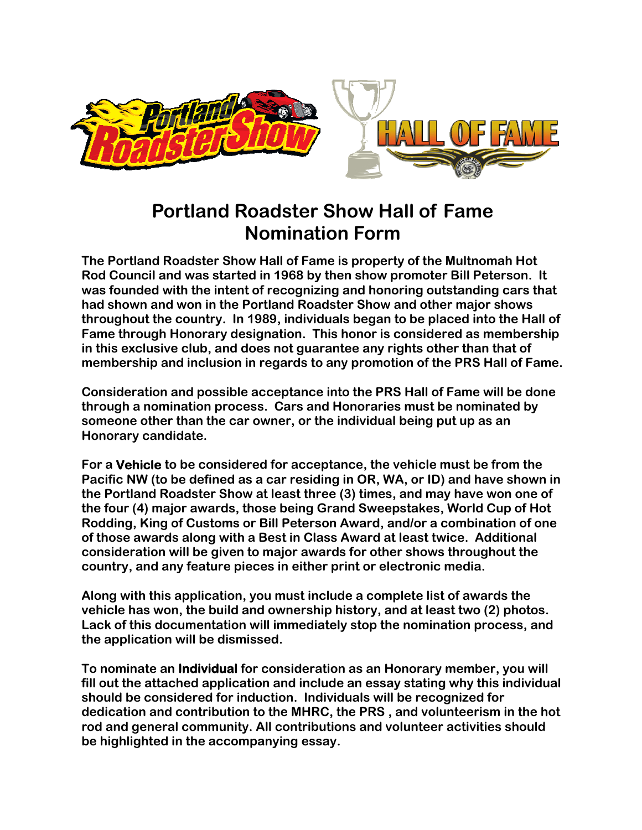

## **Portland Roadster Show Hall of Fame Nomination Form**

**The Portland Roadster Show Hall of Fame is property of the Multnomah Hot Rod Council and was started in 1968 by then show promoter Bill Peterson. It was founded with the intent of recognizing and honoring outstanding cars that had shown and won in the Portland Roadster Show and other major shows throughout the country. In 1989, individuals began to be placed into the Hall of Fame through Honorary designation. This honor is considered as membership in this exclusive club, and does not guarantee any rights other than that of membership and inclusion in regards to any promotion of the PRS Hall of Fame.** 

**Consideration and possible acceptance into the PRS Hall of Fame will be done through a nomination process. Cars and Honoraries must be nominated by someone other than the car owner, or the individual being put up as an Honorary candidate.** 

**For a Vehicle to be considered for acceptance, the vehicle must be from the Pacific NW (to be defined as a car residing in OR, WA, or ID) and have shown in the Portland Roadster Show at least three (3) times, and may have won one of the four (4) major awards, those being Grand Sweepstakes, World Cup of Hot Rodding, King of Customs or Bill Peterson Award, and/or a combination of one of those awards along with a Best in Class Award at least twice. Additional consideration will be given to major awards for other shows throughout the country, and any feature pieces in either print or electronic media.** 

**Along with this application, you must include a complete list of awards the vehicle has won, the build and ownership history, and at least two (2) photos. Lack of this documentation will immediately stop the nomination process, and the application will be dismissed.** 

**To nominate an Individual for consideration as an Honorary member, you will fill out the attached application and include an essay stating why this individual should be considered for induction. Individuals will be recognized for dedication and contribution to the MHRC, the PRS , and volunteerism in the hot rod and general community. All contributions and volunteer activities should be highlighted in the accompanying essay.**